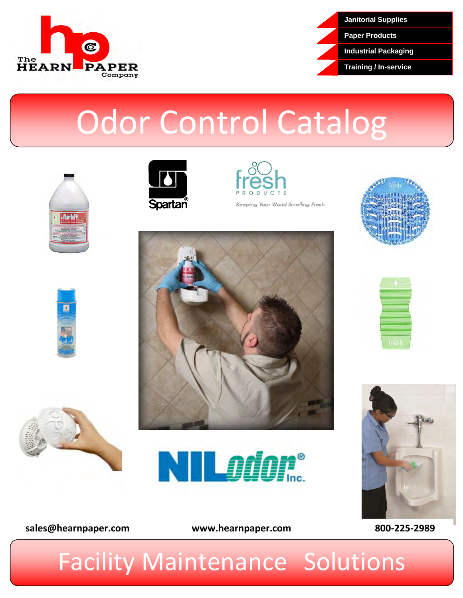



# Odor Control Catalog







Keeping Your World Smelling Fresh















# Facility Maintenance Solutions

**[sales@hearnpaper.com](mailto:sales@hearnpaper.com) www.hearnpaper.com 800-225-2989**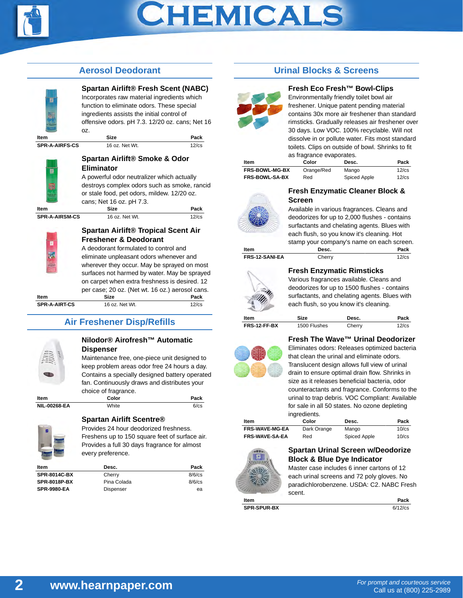

# CHEMICALS

## **Aerosol Deodorant**



## **Spartan Airlift® Fresh Scent (NABC)**

Incorporates raw material ingredients which function to eliminate odors. These special ingredients assists the initial control of offensive odors. pH 7.3. 12/20 oz. cans; Net 16 oz.

| Item                  | <b>Size</b>    | Pack        |
|-----------------------|----------------|-------------|
| <b>SPR-A-AIRFS-CS</b> | 16 oz. Net Wt. | $12$ / $cs$ |



#### **Spartan Airlift® Smoke & Odor Eliminator**

A powerful odor neutralizer which actually destroys complex odors such as smoke, rancid or stale food, pet odors, mildew. 12/20 oz. cans; Net 16 oz. pH 7.3.

|  | c |  |
|--|---|--|

**Item Size Size Rack SPR-A-AIRSM-CS** 16 oz. Net Wt. 12/cs

## **Spartan Airlift® Tropical Scent Air Freshener & Deodorant**

A deodorant formulated to control and eliminate unpleasant odors whenever and wherever they occur. May be sprayed on most surfaces not harmed by water. May be sprayed on carpet when extra freshness is desired. 12 per case; 20 oz. (Net wt. 16 oz.) aerosol cans. **Item Size Pack SPR-A-AIRT-CS** 16 oz. Net Wt. 12/cs

# **Air Freshener Disp/Refills**



#### **Nilodor® Airofresh™ Automatic Dispenser**

Maintenance free, one-piece unit designed to keep problem areas odor free 24 hours a day. Contains a specially designed battery operated fan. Continuously draws and distributes your choice of fragrance.

| Item                | ∴olor | Pack |
|---------------------|-------|------|
| <b>NIL-00268-EA</b> | White |      |

## **Spartan Airlift Scentre®**

Provides 24 hour deodorized freshness. Freshens up to 150 square feet of surface air. Provides a full 30 days fragrance for almost every preference.

| Item                | Desc.       | Pack      |
|---------------------|-------------|-----------|
| <b>SPR-8014C-BX</b> | Cherry      | $8/6$ /cs |
| <b>SPR-8018P-BX</b> | Pina Colada | $8/6$ /cs |
| <b>SPR-9980-EA</b>  | Dispenser   | ea        |

# **Urinal Blocks & Screens**



#### **Fresh Eco Fresh™ Bowl-Clips**

Environmentally friendly toilet bowl air freshener. Unique patent pending material contains 30x more air freshener than standard rimsticks. Gradually releases air freshener over 30 days. Low VOC. 100% recyclable. Will not dissolve in or pollute water. Fits most standard toilets. Clips on outside of bowl. Shrinks to fit as fragrance evaporates.

| Item                  | Color      | Desc.        | Pack        |
|-----------------------|------------|--------------|-------------|
| <b>FRS-BOWL-MG-BX</b> | Orange/Red | Mango        | $12$ / $cs$ |
| <b>FRS-BOWL-SA-BX</b> | Red        | Spiced Apple | $12$ / $cs$ |



#### **Fresh Enzymatic Cleaner Block & Screen**

Available in various fragrances. Cleans and deodorizes for up to 2,000 flushes - contains surfactants and chelating agents. Blues with each flush, so you know it's cleaning. Hot stamp your company's name on each screen. **Item Desc. Pack FRS-12-SANI-EA** Cherry 12/cs

### **Fresh Enzymatic Rimsticks**

Various fragrances available. Cleans and deodorizes for up to 1500 flushes - contains surfactants, and chelating agents. Blues with each flush, so you know it's cleaning.

| Item         | Size         | Desc.  | Pack        |
|--------------|--------------|--------|-------------|
| FRS-12-FF-BX | 1500 Flushes | Cherry | $12$ / $cs$ |



### **Fresh The Wave™ Urinal Deodorizer**

Eliminates odors: Releases optimized bacteria that clean the urinal and eliminate odors. Translucent design allows full view of urinal drain to ensure optimal drain flow. Shrinks in size as it releases beneficial bacteria, odor counteractants and fragrance. Conforms to the urinal to trap debris. VOC Compliant: Available for sale in all 50 states. No ozone depleting ingredients.

| ltem                  | Color       | Desc.        | Pack        |
|-----------------------|-------------|--------------|-------------|
| <b>FRS-WAVE-MG-EA</b> | Dark Orange | Mango        | $10$ / $cs$ |
| <b>FRS-WAVE-SA-EA</b> | Red         | Spiced Apple | $10$ / $cs$ |



#### **Spartan Urinal Screen w/Deodorize Block & Blue Dye Indicator**

Master case includes 6 inner cartons of 12 each urinal screens and 72 poly gloves. No paradichlorobenzene. USDA: C2. NABC Fresh scent.

| Item               | Pack       |
|--------------------|------------|
| <b>SPR-SPUR-BX</b> | $6/12$ /cs |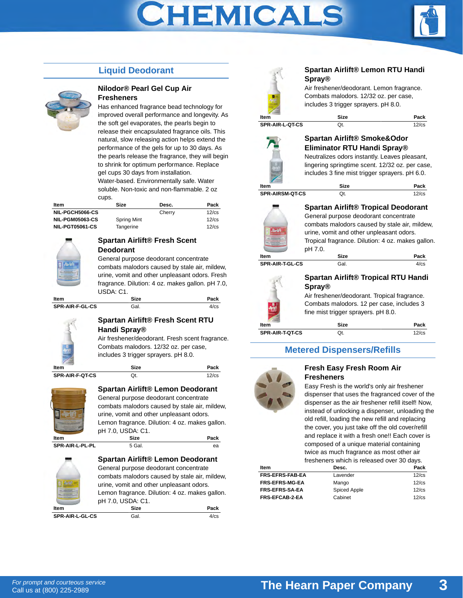# **CHEMICALS**



# **Liquid Deodorant**



#### **Nilodor® Pearl Gel Cup Air Fresheners**

Has enhanced fragrance bead technology for improved overall performance and longevity. As the soft gel evaporates, the pearls begin to release their encapsulated fragrance oils. This natural, slow releasing action helps extend the performance of the gels for up to 30 days. As the pearls release the fragrance, they will begin to shrink for optimum performance. Replace gel cups 30 days from installation. Water-based. Environmentally safe. Water soluble. Non-toxic and non-flammable. 2 oz cups.

| Item                   | Size               | Desc.  | Pack        |
|------------------------|--------------------|--------|-------------|
| NIL-PGCH5066-CS        |                    | Cherry | $12$ / $cs$ |
| <b>NIL-PGM05063-CS</b> | <b>Spring Mint</b> |        | $12$ / $cs$ |
| <b>NIL-PGT05061-CS</b> | Tangerine          |        | $12$ / $cs$ |



#### **Spartan Airlift® Fresh Scent Deodorant**

General purpose deodorant concentrate combats malodors caused by stale air, mildew, urine, vomit and other unpleasant odors. Fresh fragrance. Dilution: 4 oz. makes gallon. pH 7.0, USDA: C1.

| Item                   | <b>Size</b> | Pack |
|------------------------|-------------|------|
| <b>SPR-AIR-F-GL-CS</b> | Gal.        |      |



### **Spartan Airlift® Fresh Scent RTU Handi Spray®**

Air freshener/deodorant. Fresh scent fragrance. Combats malodors. 12/32 oz. per case, includes 3 trigger sprayers. pH 8.0.

**Item Size Size Pack SPR-AIR-F-QT-CS** Qt. 2/cs



## **Spartan Airlift® Lemon Deodorant**

General purpose deodorant concentrate combats malodors caused by stale air, mildew, urine, vomit and other unpleasant odors. Lemon fragrance. Dilution: 4 oz. makes gallon. pH 7.0, USDA: C1. **Item Size Size Pack** 

**SPR-AIR-L-PL-PL** 5 Gal. each each of the state of the state of the state of the state of the state of the state of the state of the state of the state of the state of the state of the state of the state of the state of th





### **Spartan Airlift® Lemon RTU Handi Spray®**

Air freshener/deodorant. Lemon fragrance. Combats malodors. 12/32 oz. per case, includes 3 trigger sprayers. pH 8.0.

**Item Size Size Pack SPR-AIR-L-QT-CS** Qt. 12/cs

# **Spartan Airlift® Smoke&Odor Eliminator RTU Handi Spray®**



Neutralizes odors instantly. Leaves pleasant, lingering springtime scent. 12/32 oz. per case,

includes 3 fine mist trigger sprayers. pH 6.0.

**Item SPR-AIRSM-QT-CS** 

| <b>Size</b> | Pack        |
|-------------|-------------|
| Qt.         | $12$ / $cs$ |

### **Spartan Airlift® Tropical Deodorant**

General purpose deodorant concentrate combats malodors caused by stale air, mildew, urine, vomit and other unpleasant odors. Tropical fragrance. Dilution: 4 oz. makes gallon. pH 7.0.

| ltem            | <b>Size</b> | Pack |
|-----------------|-------------|------|
| SPR-AIR-T-GL-CS | Gal.        | 4/cs |
|                 |             |      |



## **Spartan Airlift® Tropical RTU Handi Spray®**

Air freshener/deodorant. Tropical fragrance. Combats malodors. 12 per case, includes 3 fine mist trigger sprayers. pH 8.0.

| ltem            | <b>Size</b> | Pack        |
|-----------------|-------------|-------------|
| SPR-AIR-T-QT-CS | Qt.         | $12$ / $cs$ |

# **Metered Dispensers/Refills**



#### **Fresh Easy Fresh Room Air Fresheners**

Easy Fresh is the world's only air freshener dispenser that uses the fragranced cover of the dispenser as the air freshener refill itself! Now, instead of unlocking a dispenser, unloading the old refill, loading the new refill and replacing the cover, you just take off the old cover/refill and replace it with a fresh one!! Each cover is composed of a unique material containing twice as much fragrance as most other air fresheners which is released over 30 days.

| ltem                   | Desc.        | Pack        |
|------------------------|--------------|-------------|
| <b>FRS-EFRS-FAB-EA</b> | Lavender     | $12$ / $cs$ |
| <b>FRS-EFRS-MG-EA</b>  | Mango        | $12$ / $cs$ |
| <b>FRS-EFRS-SA-EA</b>  | Spiced Apple | $12$ / $cs$ |
| <b>FRS-EFCAB-2-EA</b>  | Cabinet      | $12$ / $cs$ |